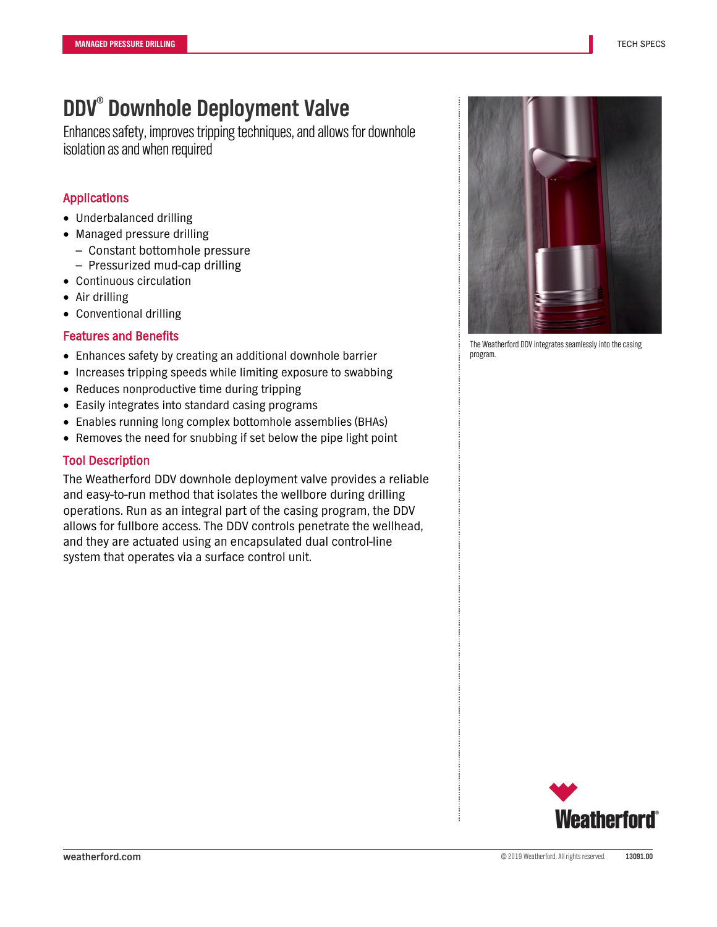Enhances safety, improves tripping techniques, and allows for downhole isolation as and when required

## Applications

- Underbalanced drilling
- Managed pressure drilling
	- Constant bottomhole pressure
	- Pressurized mud-cap drilling
- Continuous circulation
- Air drilling
- Conventional drilling

#### Features and Benefits

- Enhances safety by creating an additional downhole barrier
- Increases tripping speeds while limiting exposure to swabbing
- Reduces nonproductive time during tripping
- Easily integrates into standard casing programs
- Enables running long complex bottomhole assemblies (BHAs)
- Removes the need for snubbing if set below the pipe light point

#### Tool Description

The Weatherford DDV downhole deployment valve provides a reliable and easy-to-run method that isolates the wellbore during drilling operations. Run as an integral part of the casing program, the DDV allows for fullbore access. The DDV controls penetrate the wellhead, and they are actuated using an encapsulated dual control-line system that operates via a surface control unit.



The Weatherford DDV integrates seamlessly into the casing program.

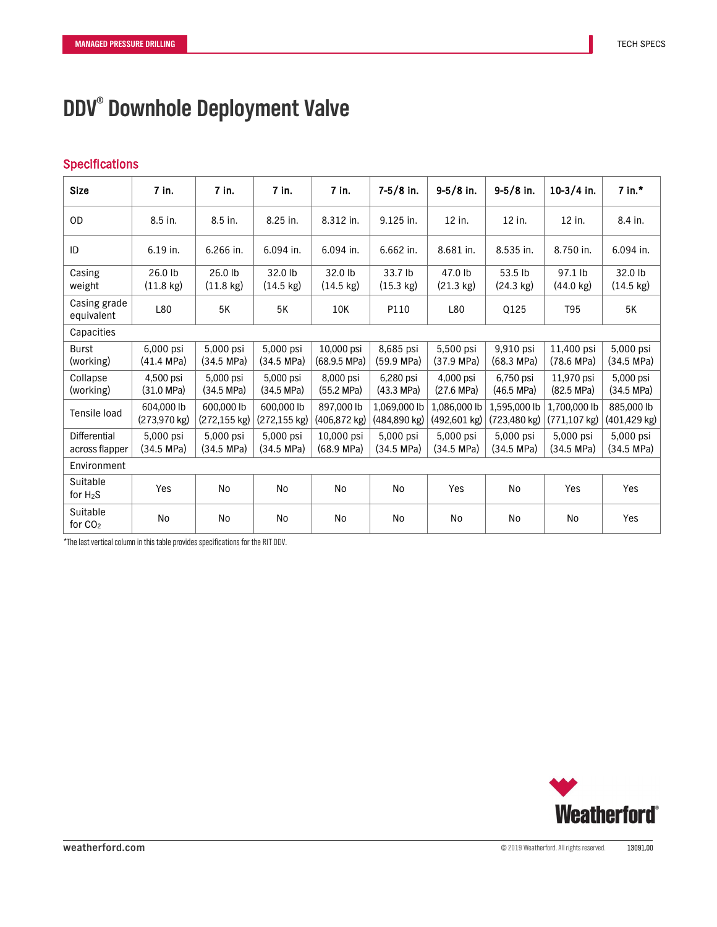### Specifications

| <b>Size</b>                           | 7 in.                                | 7 in.                                 | 7 in.                             | 7 in.                                | $7-5/8$ in.                       | $9-5/8$ in.                       | $9-5/8$ in.                    | $10-3/4$ in.                       | $7$ in. $*$                       |
|---------------------------------------|--------------------------------------|---------------------------------------|-----------------------------------|--------------------------------------|-----------------------------------|-----------------------------------|--------------------------------|------------------------------------|-----------------------------------|
| <b>OD</b>                             | 8.5 in.                              | 8.5 in.                               | 8.25 in.                          | 8.312 in.                            | 9.125 in.                         | 12 in.                            | 12 in.                         | 12 in.                             | 8.4 in.                           |
| ID                                    | 6.19 in.                             | 6.266 in.                             | 6.094 in.                         | 6.094 in.                            | 6.662 in.                         | 8.681 in.                         | 8.535 in.                      | 8.750 in.                          | 6.094 in.                         |
| Casing<br>weight                      | 26.0 lb<br>$(11.8 \text{ kg})$       | 26.0 lb<br>$(11.8 \text{ kg})$        | 32.0 lb<br>$(14.5 \text{ kg})$    | 32.0 lb<br>$(14.5 \text{ kg})$       | 33.7 lb<br>$(15.3 \text{ kg})$    | 47.0 lb<br>$(21.3 \text{ kg})$    | 53.5 lb<br>$(24.3 \text{ kg})$ | 97.1 lb<br>$(44.0 \text{ kg})$     | 32.0 lb<br>$(14.5 \text{ kg})$    |
| Casing grade<br>equivalent            | L80                                  | 5K                                    | 5K                                | 10K                                  | P110                              | L80                               | Q125                           | T95                                | 5K                                |
| Capacities                            |                                      |                                       |                                   |                                      |                                   |                                   |                                |                                    |                                   |
| <b>Burst</b><br>(working)             | 6,000 psi<br>$(41.4 \, MPa)$         | 5,000 psi<br>$(34.5 \, MPa)$          | 5,000 psi<br>$(34.5 \text{ MPa})$ | 10,000 psi<br>$(68.9.5 \text{ MPa})$ | 8,685 psi<br>$(59.9 \text{ MPa})$ | 5,500 psi<br>$(37.9 \text{ MPa})$ | 9,910 psi<br>(68.3 MPa)        | 11,400 psi<br>$(78.6 \text{ MPa})$ | 5,000 psi<br>$(34.5 \text{ MPa})$ |
| Collapse<br>(working)                 | 4,500 psi<br>$(31.0 \text{ MPa})$    | 5,000 psi<br>(34.5 MPa)               | 5,000 psi<br>$(34.5 \text{ MPa})$ | 8,000 psi<br>(55.2 MPa)              | 6,280 psi<br>$(43.3 \text{ MPa})$ | 4,000 psi<br>$(27.6 \text{ MPa})$ | 6,750 psi<br>(46.5 MPa)        | 11,970 psi<br>$(82.5 \text{ MPa})$ | 5,000 psi<br>(34.5 MPa)           |
| Tensile load                          | 604,000 lb<br>$(273,970 \text{ kg})$ | 600,000 lb<br>$(272, 155 \text{ kg})$ | 600,000 lb<br>(272,155 kg)        | 897,000 lb<br>(406,872 kg)           | 1,069,000 lb<br>(484,890 kg)      | 1,086,000 lb<br>(492,601 kg)      | 1,595,000 lb<br>(723,480 kg)   | 1,700,000 lb<br>(771,107 kg)       | 885,000 lb<br>(401,429 kg)        |
| <b>Differential</b><br>across flapper | 5,000 psi<br>(34.5 MPa)              | 5,000 psi<br>(34.5 MPa)               | 5,000 psi<br>$(34.5 \text{ MPa})$ | 10,000 psi<br>$(68.9 \text{ MPa})$   | 5,000 psi<br>$(34.5 \, MPa)$      | 5,000 psi<br>$(34.5 \, MPa)$      | 5,000 psi<br>(34.5 MPa)        | 5,000 psi<br>$(34.5 \, MPa)$       | 5,000 psi<br>(34.5 MPa)           |
| Environment                           |                                      |                                       |                                   |                                      |                                   |                                   |                                |                                    |                                   |
| Suitable<br>for $H_2S$                | Yes                                  | No                                    | No                                | <b>No</b>                            | No                                | Yes                               | No                             | Yes                                | Yes                               |
| Suitable<br>for $CO2$                 | <b>No</b>                            | No                                    | No                                | N <sub>o</sub>                       | No                                | No                                | No                             | No                                 | Yes                               |

\*The last vertical column in this table provides specifications for the RIT DDV.

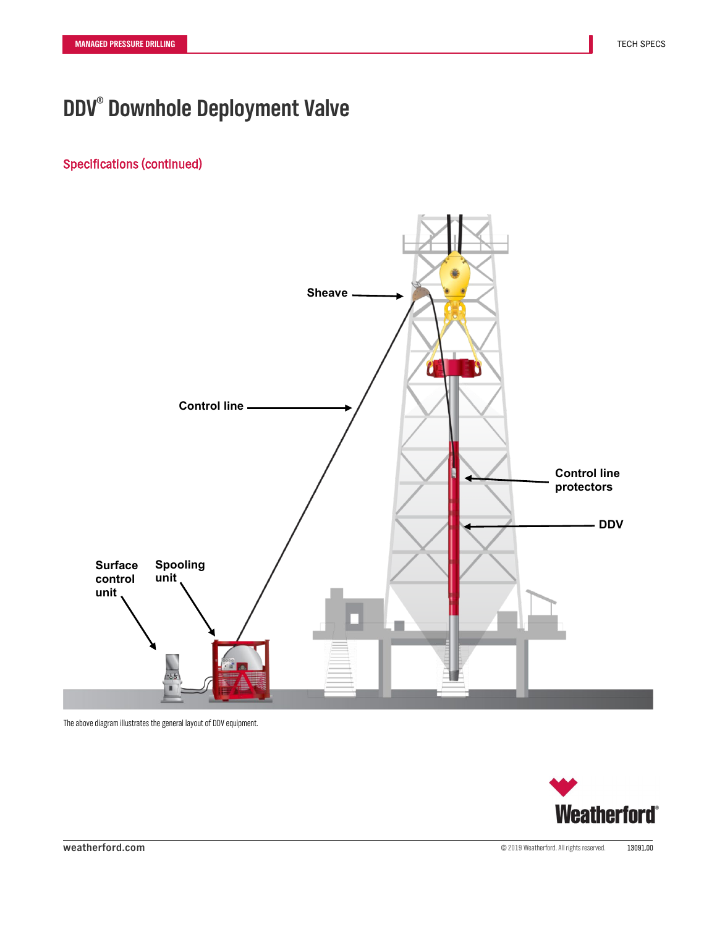# Specifications (continued)



The above diagram illustrates the general layout of DDV equipment.